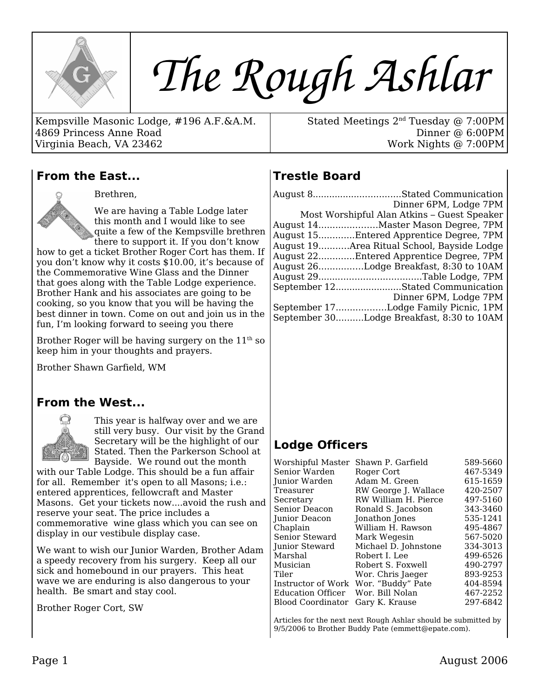

# *The Rough Ashlar*

Kempsville Masonic Lodge, #196 A.F.&A.M. 4869 Princess Anne Road Virginia Beach, VA 23462

Stated Meetings 2nd Tuesday @ 7:00PM Dinner @ 6:00PM Work Nights @ 7:00PM

#### **From the East...**



Brethren,

We are having a Table Lodge later this month and I would like to see quite a few of the Kempsville brethren there to support it. If you don't know

how to get a ticket Brother Roger Cort has them. If you don't know why it costs \$10.00, it's because of the Commemorative Wine Glass and the Dinner that goes along with the Table Lodge experience. Brother Hank and his associates are going to be cooking, so you know that you will be having the best dinner in town. Come on out and join us in the fun, I'm looking forward to seeing you there

Brother Roger will be having surgery on the  $11<sup>th</sup>$  so keep him in your thoughts and prayers.

Brother Shawn Garfield, WM

#### **From the West...**



This year is halfway over and we are still very busy. Our visit by the Grand Secretary will be the highlight of our Stated. Then the Parkerson School at Bayside. We round out the month

with our Table Lodge. This should be a fun affair for all. Remember it's open to all Masons; i.e.: entered apprentices, fellowcraft and Master Masons. Get your tickets now....avoid the rush and reserve your seat. The price includes a commemorative wine glass which you can see on display in our vestibule display case.

We want to wish our Junior Warden, Brother Adam a speedy recovery from his surgery. Keep all our sick and homebound in our prayers. This heat wave we are enduring is also dangerous to your health. Be smart and stay cool.

Brother Roger Cort, SW

# **Trestle Board**

| August 8Stated Communication                |
|---------------------------------------------|
| Dinner 6PM, Lodge 7PM                       |
| Most Worshipful Alan Atkins - Guest Speaker |
| August 14Master Mason Degree, 7PM           |
| August 15Entered Apprentice Degree, 7PM     |
| August 19Area Ritual School, Bayside Lodge  |
| August 22Entered Apprentice Degree, 7PM     |
| August 26Lodge Breakfast, 8:30 to 10AM      |
|                                             |
| September 12Stated Communication            |
| Dinner 6PM, Lodge 7PM                       |
| September 17Lodge Family Picnic, 1PM        |
| September 30Lodge Breakfast, 8:30 to 10AM   |

## **Lodge Officers**

| Worshipful Master        | Shawn P. Garfield                    | 589-5660 |
|--------------------------|--------------------------------------|----------|
| Senior Warden            | Roger Cort                           | 467-5349 |
| Junior Warden            | Adam M. Green                        | 615-1659 |
| Treasurer                | RW George J. Wallace                 | 420-2507 |
| Secretary                | RW William H. Pierce                 | 497-5160 |
| Senior Deacon            | Ronald S. Jacobson                   | 343-3460 |
| Junior Deacon            | Jonathon Jones                       | 535-1241 |
| Chaplain                 | William H. Rawson                    | 495-4867 |
| Senior Steward           | Mark Wegesin                         | 567-5020 |
| <b>Junior Steward</b>    | Michael D. Johnstone                 | 334-3013 |
| Marshal                  | Robert I. Lee                        | 499-6526 |
| Musician                 | Robert S. Foxwell                    | 490-2797 |
| Tiler                    | Wor. Chris Jaeger                    | 893-9253 |
|                          | Instructor of Work Wor. "Buddy" Pate | 404-8594 |
| Education Officer        | Wor. Bill Nolan                      | 467-2252 |
| <b>Blood Coordinator</b> | Gary K. Krause                       | 297-6842 |
|                          |                                      |          |

Articles for the next next Rough Ashlar should be submitted by 9/5/2006 to Brother Buddy Pate (emmett@epate.com).